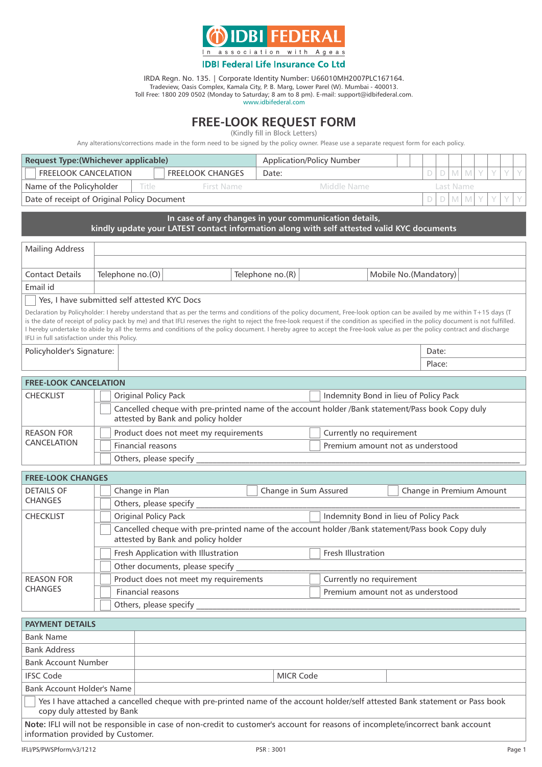

## **IDBI Federal Life Insurance Co Ltd**

IRDA Regn. No. 135. | Corporate Identity Number: U66010MH2007PLC167164. Tradeview, Oasis Complex, Kamala City, P. B. Marg, Lower Parel (W). Mumbai - 400013. Toll Free: 1800 209 0502 (Monday to Saturday; 8 am to 8 pm). E-mail: support@idbifederal.com.

www.idbifederal.com

## **FREE-LOOK REQUEST FORM**

(Kindly fill in Block Letters)

Any alterations/corrections made in the form need to be signed by the policy owner. Please use a separate request form for each policy.

| <b>Request Type: (Whichever applicable)</b>                                                                                                                                                                                                                                                                                                                                                                                                                                                                                                                                                  |                                                                                                                                        |                                                                     |                                                |  | <b>Application/Policy Number</b>          |                          |                                                                                                                                                     |       |  |  |        |  |  |  |  |  |
|----------------------------------------------------------------------------------------------------------------------------------------------------------------------------------------------------------------------------------------------------------------------------------------------------------------------------------------------------------------------------------------------------------------------------------------------------------------------------------------------------------------------------------------------------------------------------------------------|----------------------------------------------------------------------------------------------------------------------------------------|---------------------------------------------------------------------|------------------------------------------------|--|-------------------------------------------|--------------------------|-----------------------------------------------------------------------------------------------------------------------------------------------------|-------|--|--|--------|--|--|--|--|--|
| <b>FREELOOK CANCELATION</b><br><b>FREELOOK CHANGES</b>                                                                                                                                                                                                                                                                                                                                                                                                                                                                                                                                       |                                                                                                                                        |                                                                     | $\mathsf D$<br>$M$ $M$<br>V<br>Y<br>D<br>Date: |  |                                           |                          | V                                                                                                                                                   |       |  |  |        |  |  |  |  |  |
| Title<br>Name of the Policyholder<br>First Name                                                                                                                                                                                                                                                                                                                                                                                                                                                                                                                                              |                                                                                                                                        |                                                                     |                                                |  | Middle Name<br>Last Name                  |                          |                                                                                                                                                     |       |  |  |        |  |  |  |  |  |
| Date of receipt of Original Policy Document<br>D<br>$\mathbb{M}$<br>M<br>D                                                                                                                                                                                                                                                                                                                                                                                                                                                                                                                   |                                                                                                                                        |                                                                     |                                                |  |                                           |                          |                                                                                                                                                     |       |  |  |        |  |  |  |  |  |
|                                                                                                                                                                                                                                                                                                                                                                                                                                                                                                                                                                                              |                                                                                                                                        |                                                                     |                                                |  |                                           |                          | In case of any changes in your communication details,<br>kindly update your LATEST contact information along with self attested valid KYC documents |       |  |  |        |  |  |  |  |  |
| <b>Mailing Address</b>                                                                                                                                                                                                                                                                                                                                                                                                                                                                                                                                                                       |                                                                                                                                        |                                                                     |                                                |  |                                           |                          |                                                                                                                                                     |       |  |  |        |  |  |  |  |  |
| <b>Contact Details</b>                                                                                                                                                                                                                                                                                                                                                                                                                                                                                                                                                                       | Telephone no.(O)                                                                                                                       |                                                                     |                                                |  | Telephone no.(R)<br>Mobile No.(Mandatory) |                          |                                                                                                                                                     |       |  |  |        |  |  |  |  |  |
| Email id                                                                                                                                                                                                                                                                                                                                                                                                                                                                                                                                                                                     |                                                                                                                                        |                                                                     |                                                |  |                                           |                          |                                                                                                                                                     |       |  |  |        |  |  |  |  |  |
| Yes. I have submitted self attested KYC Docs                                                                                                                                                                                                                                                                                                                                                                                                                                                                                                                                                 |                                                                                                                                        |                                                                     |                                                |  |                                           |                          |                                                                                                                                                     |       |  |  |        |  |  |  |  |  |
| Declaration by Policyholder: I hereby understand that as per the terms and conditions of the policy document, Free-look option can be availed by me within T+15 days (T<br>is the date of receipt of policy pack by me) and that IFLI reserves the right to reject the free-look request if the condition as specified in the policy document is not fulfilled.<br>I hereby undertake to abide by all the terms and conditions of the policy document. I hereby agree to accept the Free-look value as per the policy contract and discharge<br>IFLI in full satisfaction under this Policy. |                                                                                                                                        |                                                                     |                                                |  |                                           |                          |                                                                                                                                                     |       |  |  |        |  |  |  |  |  |
| Policyholder's Signature:                                                                                                                                                                                                                                                                                                                                                                                                                                                                                                                                                                    |                                                                                                                                        |                                                                     |                                                |  |                                           |                          |                                                                                                                                                     | Date: |  |  |        |  |  |  |  |  |
|                                                                                                                                                                                                                                                                                                                                                                                                                                                                                                                                                                                              |                                                                                                                                        |                                                                     |                                                |  |                                           |                          |                                                                                                                                                     |       |  |  | Place: |  |  |  |  |  |
| <b>FREE-LOOK CANCELATION</b>                                                                                                                                                                                                                                                                                                                                                                                                                                                                                                                                                                 |                                                                                                                                        |                                                                     |                                                |  |                                           |                          |                                                                                                                                                     |       |  |  |        |  |  |  |  |  |
| <b>CHECKLIST</b>                                                                                                                                                                                                                                                                                                                                                                                                                                                                                                                                                                             |                                                                                                                                        | Original Policy Pack                                                |                                                |  |                                           |                          | Indemnity Bond in lieu of Policy Pack                                                                                                               |       |  |  |        |  |  |  |  |  |
| Cancelled cheque with pre-printed name of the account holder /Bank statement/Pass book Copy duly<br>attested by Bank and policy holder                                                                                                                                                                                                                                                                                                                                                                                                                                                       |                                                                                                                                        |                                                                     |                                                |  |                                           |                          |                                                                                                                                                     |       |  |  |        |  |  |  |  |  |
| <b>REASON FOR</b>                                                                                                                                                                                                                                                                                                                                                                                                                                                                                                                                                                            | Product does not meet my requirements<br>Currently no requirement                                                                      |                                                                     |                                                |  |                                           |                          |                                                                                                                                                     |       |  |  |        |  |  |  |  |  |
| CANCELATION                                                                                                                                                                                                                                                                                                                                                                                                                                                                                                                                                                                  |                                                                                                                                        | Financial reasons                                                   |                                                |  |                                           |                          | Premium amount not as understood                                                                                                                    |       |  |  |        |  |  |  |  |  |
|                                                                                                                                                                                                                                                                                                                                                                                                                                                                                                                                                                                              |                                                                                                                                        | Others, please specify                                              |                                                |  |                                           |                          |                                                                                                                                                     |       |  |  |        |  |  |  |  |  |
|                                                                                                                                                                                                                                                                                                                                                                                                                                                                                                                                                                                              |                                                                                                                                        |                                                                     |                                                |  |                                           |                          |                                                                                                                                                     |       |  |  |        |  |  |  |  |  |
| <b>FREE-LOOK CHANGES</b>                                                                                                                                                                                                                                                                                                                                                                                                                                                                                                                                                                     |                                                                                                                                        |                                                                     |                                                |  |                                           |                          |                                                                                                                                                     |       |  |  |        |  |  |  |  |  |
| <b>DETAILS OF</b><br><b>CHANGES</b>                                                                                                                                                                                                                                                                                                                                                                                                                                                                                                                                                          |                                                                                                                                        | Change in Sum Assured<br>Change in Premium Amount<br>Change in Plan |                                                |  |                                           |                          |                                                                                                                                                     |       |  |  |        |  |  |  |  |  |
|                                                                                                                                                                                                                                                                                                                                                                                                                                                                                                                                                                                              |                                                                                                                                        | Others, please specify                                              |                                                |  |                                           |                          |                                                                                                                                                     |       |  |  |        |  |  |  |  |  |
| <b>CHECKLIST</b>                                                                                                                                                                                                                                                                                                                                                                                                                                                                                                                                                                             | Original Policy Pack<br>Indemnity Bond in lieu of Policy Pack                                                                          |                                                                     |                                                |  |                                           |                          |                                                                                                                                                     |       |  |  |        |  |  |  |  |  |
|                                                                                                                                                                                                                                                                                                                                                                                                                                                                                                                                                                                              | Cancelled cheque with pre-printed name of the account holder /Bank statement/Pass book Copy duly<br>attested by Bank and policy holder |                                                                     |                                                |  |                                           |                          |                                                                                                                                                     |       |  |  |        |  |  |  |  |  |
|                                                                                                                                                                                                                                                                                                                                                                                                                                                                                                                                                                                              | Fresh Application with Illustration<br>Fresh Illustration                                                                              |                                                                     |                                                |  |                                           |                          |                                                                                                                                                     |       |  |  |        |  |  |  |  |  |
|                                                                                                                                                                                                                                                                                                                                                                                                                                                                                                                                                                                              | Other documents, please specify                                                                                                        |                                                                     |                                                |  |                                           |                          |                                                                                                                                                     |       |  |  |        |  |  |  |  |  |
| <b>REASON FOR</b><br><b>CHANGES</b>                                                                                                                                                                                                                                                                                                                                                                                                                                                                                                                                                          | Product does not meet my requirements                                                                                                  |                                                                     |                                                |  |                                           | Currently no requirement |                                                                                                                                                     |       |  |  |        |  |  |  |  |  |
|                                                                                                                                                                                                                                                                                                                                                                                                                                                                                                                                                                                              | <b>Financial reasons</b>                                                                                                               |                                                                     |                                                |  |                                           |                          | Premium amount not as understood                                                                                                                    |       |  |  |        |  |  |  |  |  |
|                                                                                                                                                                                                                                                                                                                                                                                                                                                                                                                                                                                              | Others, please specify _                                                                                                               |                                                                     |                                                |  |                                           |                          |                                                                                                                                                     |       |  |  |        |  |  |  |  |  |
| <b>PAYMENT DETAILS</b>                                                                                                                                                                                                                                                                                                                                                                                                                                                                                                                                                                       |                                                                                                                                        |                                                                     |                                                |  |                                           |                          |                                                                                                                                                     |       |  |  |        |  |  |  |  |  |
| <b>Bank Name</b>                                                                                                                                                                                                                                                                                                                                                                                                                                                                                                                                                                             |                                                                                                                                        |                                                                     |                                                |  |                                           |                          |                                                                                                                                                     |       |  |  |        |  |  |  |  |  |
| <b>Bank Address</b>                                                                                                                                                                                                                                                                                                                                                                                                                                                                                                                                                                          |                                                                                                                                        |                                                                     |                                                |  |                                           |                          |                                                                                                                                                     |       |  |  |        |  |  |  |  |  |
| <b>Bank Account Number</b>                                                                                                                                                                                                                                                                                                                                                                                                                                                                                                                                                                   |                                                                                                                                        |                                                                     |                                                |  |                                           |                          |                                                                                                                                                     |       |  |  |        |  |  |  |  |  |
| <b>IFSC Code</b>                                                                                                                                                                                                                                                                                                                                                                                                                                                                                                                                                                             |                                                                                                                                        |                                                                     | <b>MICR Code</b>                               |  |                                           |                          |                                                                                                                                                     |       |  |  |        |  |  |  |  |  |
| <b>Bank Account Holder's Name</b>                                                                                                                                                                                                                                                                                                                                                                                                                                                                                                                                                            |                                                                                                                                        |                                                                     |                                                |  |                                           |                          |                                                                                                                                                     |       |  |  |        |  |  |  |  |  |
| Yes I have attached a cancelled cheque with pre-printed name of the account holder/self attested Bank statement or Pass book<br>copy duly attested by Bank                                                                                                                                                                                                                                                                                                                                                                                                                                   |                                                                                                                                        |                                                                     |                                                |  |                                           |                          |                                                                                                                                                     |       |  |  |        |  |  |  |  |  |
| Note: IFLI will not be responsible in case of non-credit to customer's account for reasons of incomplete/incorrect bank account<br>information provided by Customer.                                                                                                                                                                                                                                                                                                                                                                                                                         |                                                                                                                                        |                                                                     |                                                |  |                                           |                          |                                                                                                                                                     |       |  |  |        |  |  |  |  |  |